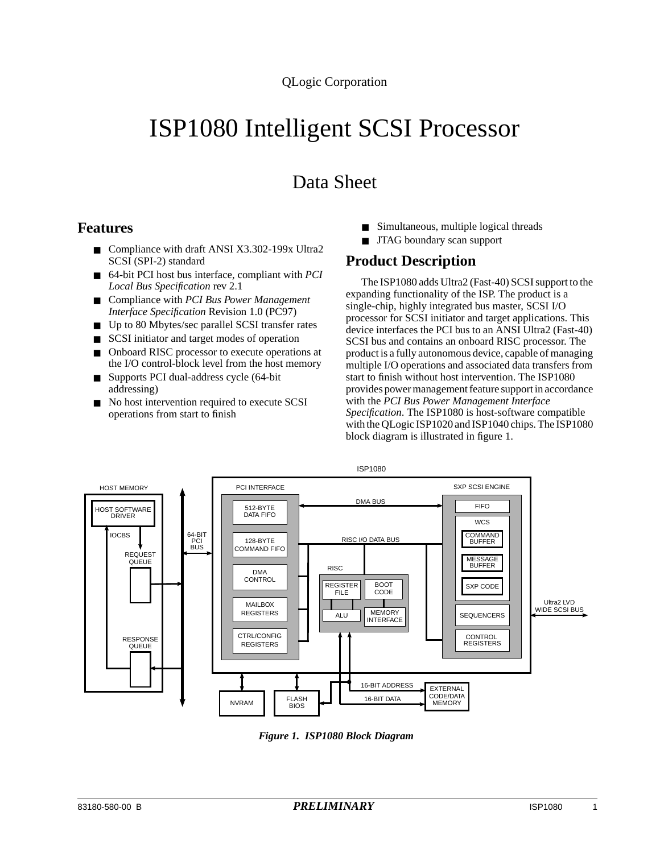# ISP1080 Intelligent SCSI Processor

# Data Sheet

#### **Features**

- Compliance with draft ANSI X3.302-199x Ultra2 SCSI (SPI-2) standard
- 64-bit PCI host bus interface, compliant with *PCI Local Bus Specification* rev 2.1
- Compliance with *PCI Bus Power Management Interface Specification* Revision 1.0 (PC97)
- Up to 80 Mbytes/sec parallel SCSI transfer rates
- SCSI initiator and target modes of operation
- Onboard RISC processor to execute operations at the I/O control-block level from the host memory
- Supports PCI dual-address cycle (64-bit addressing)
- No host intervention required to execute SCSI operations from start to finish
- Simultaneous, multiple logical threads
- JTAG boundary scan support

## **Product Description**

The ISP1080 adds Ultra2 (Fast-40) SCSI support to the expanding functionality of the ISP. The product is a single-chip, highly integrated bus master, SCSI I/O processor for SCSI initiator and target applications. This device interfaces the PCI bus to an ANSI Ultra2 (Fast-40) SCSI bus and contains an onboard RISC processor. The product is a fully autonomous device, capable of managing multiple I/O operations and associated data transfers from start to finish without host intervention. The ISP1080 provides power management feature support in accordance with the *PCI Bus Power Management Interface Specification*. The ISP1080 is host-software compatible with the QLogic ISP1020 and ISP1040 chips. The ISP1080 block diagram is illustrated in figure 1.



*Figure 1. ISP1080 Block Diagram*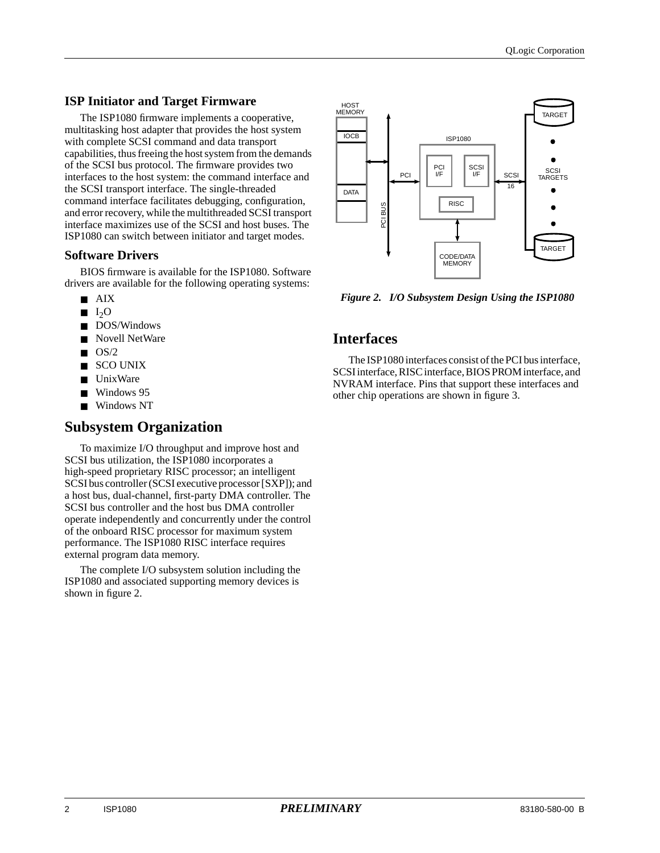#### **ISP Initiator and Target Firmware**

The ISP1080 firmware implements a cooperative, multitasking host adapter that provides the host system with complete SCSI command and data transport capabilities, thus freeing the host system from the demands of the SCSI bus protocol. The firmware provides two interfaces to the host system: the command interface and the SCSI transport interface. The single-threaded command interface facilitates debugging, configuration, and error recovery, while the multithreaded SCSI transport interface maximizes use of the SCSI and host buses. The ISP1080 can switch between initiator and target modes.

#### **Software Drivers**

BIOS firmware is available for the ISP1080. Software drivers are available for the following operating systems:

- AIX
- $\blacksquare$  I<sub>2</sub>O
- DOS/Windows
- Novell NetWare
- $\blacksquare$  OS/2
- SCO UNIX
- UnixWare
- Windows 95
- Windows NT

#### **Subsystem Organization**

To maximize I/O throughput and improve host and SCSI bus utilization, the ISP1080 incorporates a high-speed proprietary RISC processor; an intelligent SCSI bus controller (SCSI executive processor [SXP]); and a host bus, dual-channel, first-party DMA controller. The SCSI bus controller and the host bus DMA controller operate independently and concurrently under the control of the onboard RISC processor for maximum system performance. The ISP1080 RISC interface requires external program data memory.

The complete I/O subsystem solution including the ISP1080 and associated supporting memory devices is shown in figure 2.



### **Interfaces**

The ISP1080 interfaces consist of the PCI bus interface, SCSI interface, RISC interface, BIOS PROM interface, and NVRAM interface. Pins that support these interfaces and other chip operations are shown in figure 3.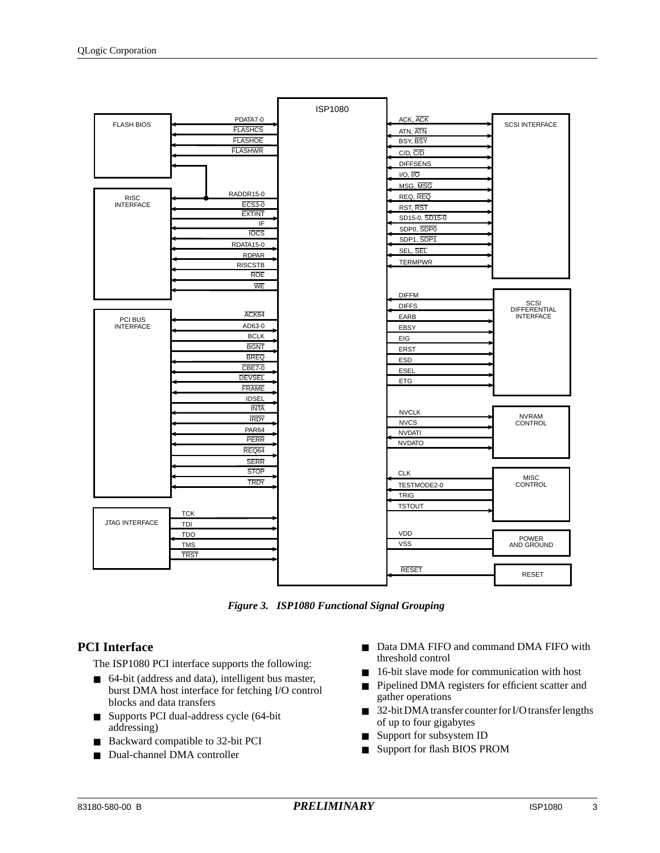|                             |                | <b>ISP1080</b> |                                |                        |
|-----------------------------|----------------|----------------|--------------------------------|------------------------|
| <b>FLASH BIOS</b>           | PDATA7-0       |                | ACK, ACK                       | <b>SCSI INTERFACE</b>  |
|                             | <b>FLASHCS</b> |                | ATN, ATN                       |                        |
|                             | <b>FLASHOE</b> |                | BSY, BSY                       |                        |
|                             | <b>FLASHWR</b> |                | $C/D$ , $\overline{C/D}$       |                        |
|                             |                |                | <b>DIFFSENS</b>                |                        |
|                             |                |                | I/O, I/O                       |                        |
|                             |                |                | MSG, MSG                       |                        |
| <b>RISC</b>                 | RADDR15-0      |                | REQ, REQ                       |                        |
| <b>INTERFACE</b>            | <b>ECS3-0</b>  |                | RST, RST                       |                        |
|                             | <b>EXTINT</b>  |                | SD15-0, SD15-0                 |                        |
|                             | IF             |                | SDP0, SDP0                     |                        |
|                             | <b>TOCS</b>    |                | SDP1, SDP1                     |                        |
|                             | RDATA15-0      |                | SEL, SEL                       |                        |
|                             | <b>RDPAR</b>   |                | <b>TERMPWR</b>                 |                        |
|                             | <b>RISCSTB</b> |                |                                |                        |
|                             | <b>ROE</b>     |                |                                |                        |
|                             | WE             |                |                                |                        |
|                             |                |                | <b>DIFFM</b>                   | SCSI                   |
|                             | ACK64          |                | <b>DIFFS</b>                   | <b>DIFFERENTIAL</b>    |
| PCI BUS<br><b>INTERFACE</b> | AD63-0         |                | EARB                           | <b>INTERFACE</b>       |
|                             | <b>BCLK</b>    |                | EBSY                           |                        |
|                             | <b>BGNT</b>    |                | EIG                            |                        |
|                             | <b>BREQ</b>    |                | <b>ERST</b>                    |                        |
|                             | <b>CBE7-0</b>  |                | <b>ESD</b>                     |                        |
|                             | <b>DEVSEL</b>  |                | <b>ESEL</b>                    |                        |
|                             | <b>FRAME</b>   |                | ETG                            |                        |
|                             | <b>IDSEL</b>   |                |                                |                        |
|                             | <b>INTA</b>    |                |                                |                        |
|                             | <b>IRDY</b>    |                | <b>NVCLK</b>                   | <b>NVRAM</b>           |
|                             | <b>PAR64</b>   |                | <b>NVCS</b>                    | <b>CONTROL</b>         |
|                             | <b>PERR</b>    |                | <b>NVDATI</b><br><b>NVDATO</b> |                        |
|                             | REQ64          |                |                                |                        |
|                             | <b>SERR</b>    |                |                                |                        |
|                             | <b>STOP</b>    |                | <b>CLK</b>                     |                        |
|                             | <b>TRDY</b>    |                | TESTMODE2-0                    | <b>MISC</b><br>CONTROL |
|                             |                |                | <b>TRIG</b>                    |                        |
|                             |                |                | <b>TSTOUT</b>                  |                        |
|                             | <b>TCK</b>     |                |                                |                        |
| <b>JTAG INTERFACE</b>       | TDI            |                |                                |                        |
|                             | <b>TDO</b>     |                | <b>VDD</b>                     | <b>POWER</b>           |
|                             | <b>TMS</b>     |                | <b>VSS</b>                     | AND GROUND             |
|                             | <b>TRST</b>    |                |                                |                        |
|                             |                |                | <b>RESET</b>                   |                        |
|                             |                |                |                                | <b>RESET</b>           |



#### **PCI Interface**

The ISP1080 PCI interface supports the following:

- 64-bit (address and data), intelligent bus master, burst DMA host interface for fetching I/O control blocks and data transfers
- Supports PCI dual-address cycle (64-bit addressing)
- Backward compatible to 32-bit PCI
- Dual-channel DMA controller
- Data DMA FIFO and command DMA FIFO with threshold control
- 16-bit slave mode for communication with host
- Pipelined DMA registers for efficient scatter and gather operations
- 32-bit DMA transfer counter for I/O transfer lengths of up to four gigabytes
- Support for subsystem ID
- Support for flash BIOS PROM